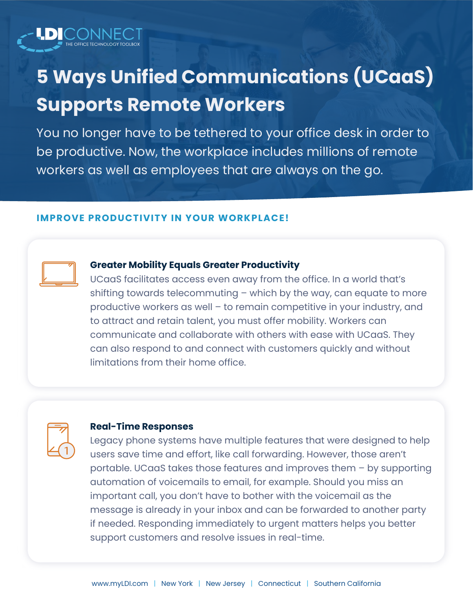

You no longer have to be tethered to your office desk in order to be productive. Now, the workplace includes millions of remote workers as well as employees that are always on the go.

#### **IMPROVE PRODUCTIVITY IN YOUR WORKPLACE!**



### **Greater Mobility Equals Greater Productivity**

UCaaS facilitates access even away from the office. In a world that's shifting towards telecommuting – which by the way, can equate to more productive workers as well – to remain competitive in your industry, and to attract and retain talent, you must offer mobility. Workers can communicate and collaborate with others with ease with UCaaS. They can also respond to and connect with customers quickly and without limitations from their home office.



### **Real-Time Responses**

Legacy phone systems have multiple features that were designed to help users save time and effort, like call forwarding. However, those aren't portable. UCaaS takes those features and improves them – by supporting automation of voicemails to email, for example. Should you miss an important call, you don't have to bother with the voicemail as the message is already in your inbox and can be forwarded to another party if needed. Responding immediately to urgent matters helps you better support customers and resolve issues in real-time.